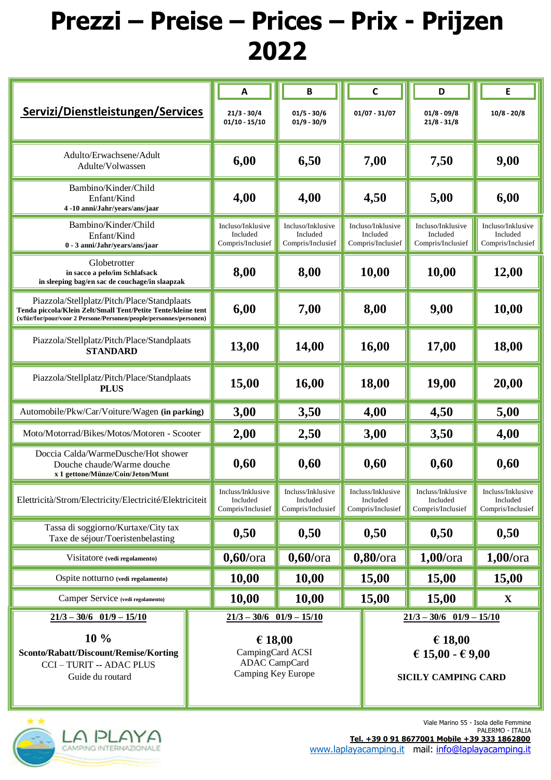## **Prezzi – Preise – Prices – Prix - Prijzen 2022**

| Servizi/Dienstleistungen/Services                                                                                                                                                 |  | $\boldsymbol{\mathsf{A}}$                                                 | B                                                  |  | $\mathsf{C}$                                       | D                                                  | Е                                                  |
|-----------------------------------------------------------------------------------------------------------------------------------------------------------------------------------|--|---------------------------------------------------------------------------|----------------------------------------------------|--|----------------------------------------------------|----------------------------------------------------|----------------------------------------------------|
|                                                                                                                                                                                   |  | $21/3 - 30/4$<br>$01/10 - 15/10$                                          | $01/5 - 30/6$<br>$01/9 - 30/9$                     |  | $01/07 - 31/07$                                    | $01/8 - 09/8$<br>$21/8 - 31/8$                     | $10/8 - 20/8$                                      |
| Adulto/Erwachsene/Adult<br>Adulte/Volwassen                                                                                                                                       |  | 6,00                                                                      | 6,50                                               |  | 7,00                                               | 7,50                                               | 9,00                                               |
| Bambino/Kinder/Child<br>Enfant/Kind<br>4-10 anni/Jahr/vears/ans/jaar                                                                                                              |  | 4,00                                                                      | 4,00                                               |  | 4,50                                               | 5,00                                               | 6,00                                               |
| Bambino/Kinder/Child<br>Enfant/Kind<br>0 - 3 anni/Jahr/years/ans/jaar                                                                                                             |  | Incluso/Inklusive<br>Included<br>Compris/Inclusief                        | Incluso/Inklusive<br>Included<br>Compris/Inclusief |  | Incluso/Inklusive<br>Included<br>Compris/Inclusief | Incluso/Inklusive<br>Included<br>Compris/Inclusief | Incluso/Inklusive<br>Included<br>Compris/Inclusief |
| Globetrotter<br>in sacco a pelo/im Schlafsack<br>in sleeping bag/en sac de couchage/in slaapzak                                                                                   |  | 8,00                                                                      | 8,00                                               |  | 10,00                                              | 10,00                                              | 12,00                                              |
| Piazzola/Stellplatz/Pitch/Place/Standplaats<br>Tenda piccola/Klein Zelt/Small Tent/Petite Tente/kleine tent<br>(x/für/for/pour/voor 2 Persone/Personen/people/personnes/personen) |  | 6,00                                                                      | 7,00                                               |  | 8,00                                               | 9,00                                               | 10,00                                              |
| Piazzola/Stellplatz/Pitch/Place/Standplaats<br><b>STANDARD</b>                                                                                                                    |  | 13,00                                                                     | 14,00                                              |  | 16,00                                              | 17,00                                              | 18,00                                              |
| Piazzola/Stellplatz/Pitch/Place/Standplaats<br><b>PLUS</b>                                                                                                                        |  | 15,00                                                                     | 16,00                                              |  | 18,00                                              | 19,00                                              | 20,00                                              |
| Automobile/Pkw/Car/Voiture/Wagen (in parking)                                                                                                                                     |  | 3,00                                                                      | 3,50                                               |  | 4,00                                               | 4,50                                               | 5,00                                               |
| Moto/Motorrad/Bikes/Motos/Motoren - Scooter                                                                                                                                       |  | 2,00                                                                      | 2,50                                               |  | 3,00                                               | 3,50                                               | 4,00                                               |
| Doccia Calda/WarmeDusche/Hot shower<br>Douche chaude/Warme douche<br>x 1 gettone/Münze/Coin/Jeton/Munt                                                                            |  | 0,60                                                                      | 0,60                                               |  | 0,60                                               | 0,60                                               | 0,60                                               |
| Elettricità/Strom/Electricity/Electricité/Elektriciteit                                                                                                                           |  | Incluss/Inklusive<br>Included<br>Compris/Inclusief                        | Incluss/Inklusive<br>Included<br>Compris/Inclusief |  | Incluss/Inklusive<br>Included<br>Compris/Inclusief | Incluss/Inklusive<br>Included<br>Compris/Inclusief | Incluss/Inklusive<br>Included<br>Compris/Inclusief |
| Tassa di soggiorno/Kurtaxe/City tax<br>Taxe de séjour/Toeristenbelasting                                                                                                          |  | 0,50                                                                      | 0,50                                               |  | 0,50                                               | 0,50                                               | 0,50                                               |
| Visitatore (vedi regolamento)                                                                                                                                                     |  | $0,60$ /ora                                                               | $0,60$ /ora                                        |  | $0,80$ /ora                                        | $1,00$ /ora                                        | $1,00$ /ora                                        |
| Ospite notturno (vedi regolamento)                                                                                                                                                |  | 10,00                                                                     | 10,00                                              |  | 15,00                                              | 15,00                                              | 15,00                                              |
| Camper Service (vedi regolamento)                                                                                                                                                 |  | 10,00                                                                     | 10,00                                              |  | 15,00                                              | 15,00                                              | X                                                  |
| $21/3 - 30/6$ 01/9 - 15/10                                                                                                                                                        |  | $21/3 - 30/6$ 01/9 - 15/10                                                |                                                    |  | $21/3 - 30/6$ 01/9 - 15/10                         |                                                    |                                                    |
| 10 %<br>Sconto/Rabatt/Discount/Remise/Korting<br><b>CCI-TURIT -- ADAC PLUS</b><br>Guide du routard                                                                                |  | € 18,00<br>CampingCard ACSI<br><b>ADAC</b> CampCard<br>Camping Key Europe |                                                    |  | € 18,00<br>€ 15,00 - € 9,00<br>SICILY CAMPING CARD |                                                    |                                                    |



 Viale Marino 55 - Isola delle Femmine  **Tel. +39 0 91 8677001 Mobile +39 333 1862800** [www.laplayacamping.it](http://www.laplayacamping.it/) mail: [info@laplayacamping.it](mailto:info@laplayacamping.it)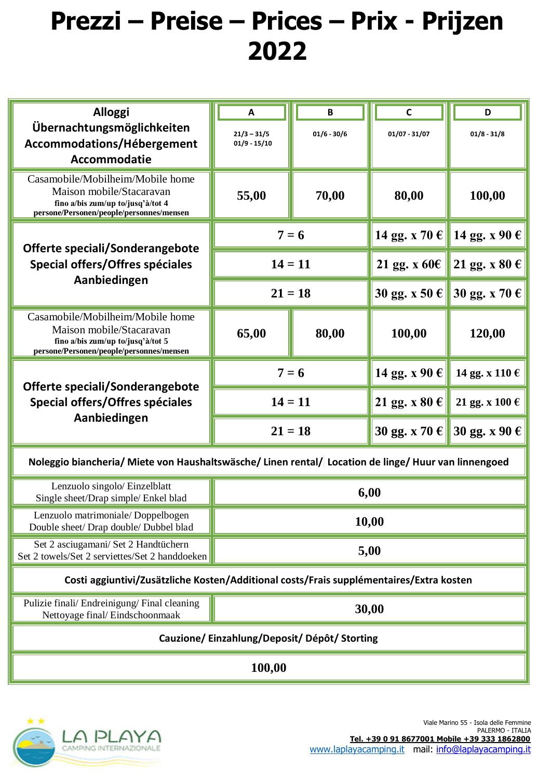## **Prezzi – Preise – Prices – Prix - Prijzen 2022**

| <b>Alloggi</b>                                                                                       | A                               | B             | $\mathsf{C}$                | D                           |  |  |  |  |  |
|------------------------------------------------------------------------------------------------------|---------------------------------|---------------|-----------------------------|-----------------------------|--|--|--|--|--|
| Übernachtungsmöglichkeiten<br>Accommodations/Hébergement                                             | $21/3 - 31/5$<br>$01/9 - 15/10$ | $01/6 - 30/6$ | $01/07 - 31/07$             | $01/8 - 31/8$               |  |  |  |  |  |
| Accommodatie                                                                                         |                                 |               |                             |                             |  |  |  |  |  |
|                                                                                                      |                                 |               |                             |                             |  |  |  |  |  |
| Casamobile/Mobilheim/Mobile home<br>Maison mobile/Stacaravan                                         |                                 |               |                             |                             |  |  |  |  |  |
| fino a/bis zum/up to/jusq'à/tot 4                                                                    | 55,00                           | 70,00         | 80,00                       | 100,00                      |  |  |  |  |  |
| persone/Personen/people/personnes/mensen                                                             |                                 |               |                             |                             |  |  |  |  |  |
| Offerte speciali/Sonderangebote<br>Special offers/Offres spéciales                                   | $7 = 6$                         |               |                             | 14 gg. x 70 € 14 gg. x 90 € |  |  |  |  |  |
|                                                                                                      | $14 = 11$                       |               | 21 gg. x $60 \in$           | 21 gg. x 80 $\epsilon$      |  |  |  |  |  |
| Aanbiedingen                                                                                         | $21 = 18$                       |               | 30 gg. x 50 € 30 gg. x 70 € |                             |  |  |  |  |  |
| Casamobile/Mobilheim/Mobile home                                                                     |                                 |               |                             |                             |  |  |  |  |  |
| Maison mobile/Stacaravan<br>fino a/bis zum/up to/jusq'à/tot 5                                        | 65,00                           | 80,00         | 100,00                      | 120,00                      |  |  |  |  |  |
| persone/Personen/people/personnes/mensen                                                             |                                 |               |                             |                             |  |  |  |  |  |
|                                                                                                      | $7 = 6$                         |               | 14 gg. x 90 $\epsilon$      | 14 gg. x 110 €              |  |  |  |  |  |
| Offerte speciali/Sonderangebote<br>Special offers/Offres spéciales                                   | $14 = 11$                       |               | 21 gg. x 80 $\epsilon$      | 21 gg. x 100 $\epsilon$     |  |  |  |  |  |
| Aanbiedingen                                                                                         |                                 |               |                             |                             |  |  |  |  |  |
|                                                                                                      | $21 = 18$                       |               |                             | 30 gg. x 70 € 30 gg. x 90 € |  |  |  |  |  |
| Noleggio biancheria/ Miete von Haushaltswäsche/ Linen rental/ Location de linge/ Huur van linnengoed |                                 |               |                             |                             |  |  |  |  |  |
| Lenzuolo singolo/Einzelblatt                                                                         | 6,00                            |               |                             |                             |  |  |  |  |  |
| Single sheet/Drap simple/ Enkel blad                                                                 |                                 |               |                             |                             |  |  |  |  |  |
| Lenzuolo matrimoniale/Doppelbogen<br>Double sheet/ Drap double/ Dubbel blad                          | 10,00                           |               |                             |                             |  |  |  |  |  |
| Set 2 asciugamani/ Set 2 Handtüchern                                                                 | 5,00                            |               |                             |                             |  |  |  |  |  |
| Set 2 towels/Set 2 serviettes/Set 2 handdoeken                                                       |                                 |               |                             |                             |  |  |  |  |  |
| Costi aggiuntivi/Zusätzliche Kosten/Additional costs/Frais supplémentaires/Extra kosten              |                                 |               |                             |                             |  |  |  |  |  |
| Pulizie finali/ Endreinigung/ Final cleaning                                                         | 30,00                           |               |                             |                             |  |  |  |  |  |
| Nettoyage final/Eindschoonmaak                                                                       |                                 |               |                             |                             |  |  |  |  |  |
| Cauzione/Einzahlung/Deposit/Dépôt/Storting                                                           |                                 |               |                             |                             |  |  |  |  |  |
| 100,00                                                                                               |                                 |               |                             |                             |  |  |  |  |  |